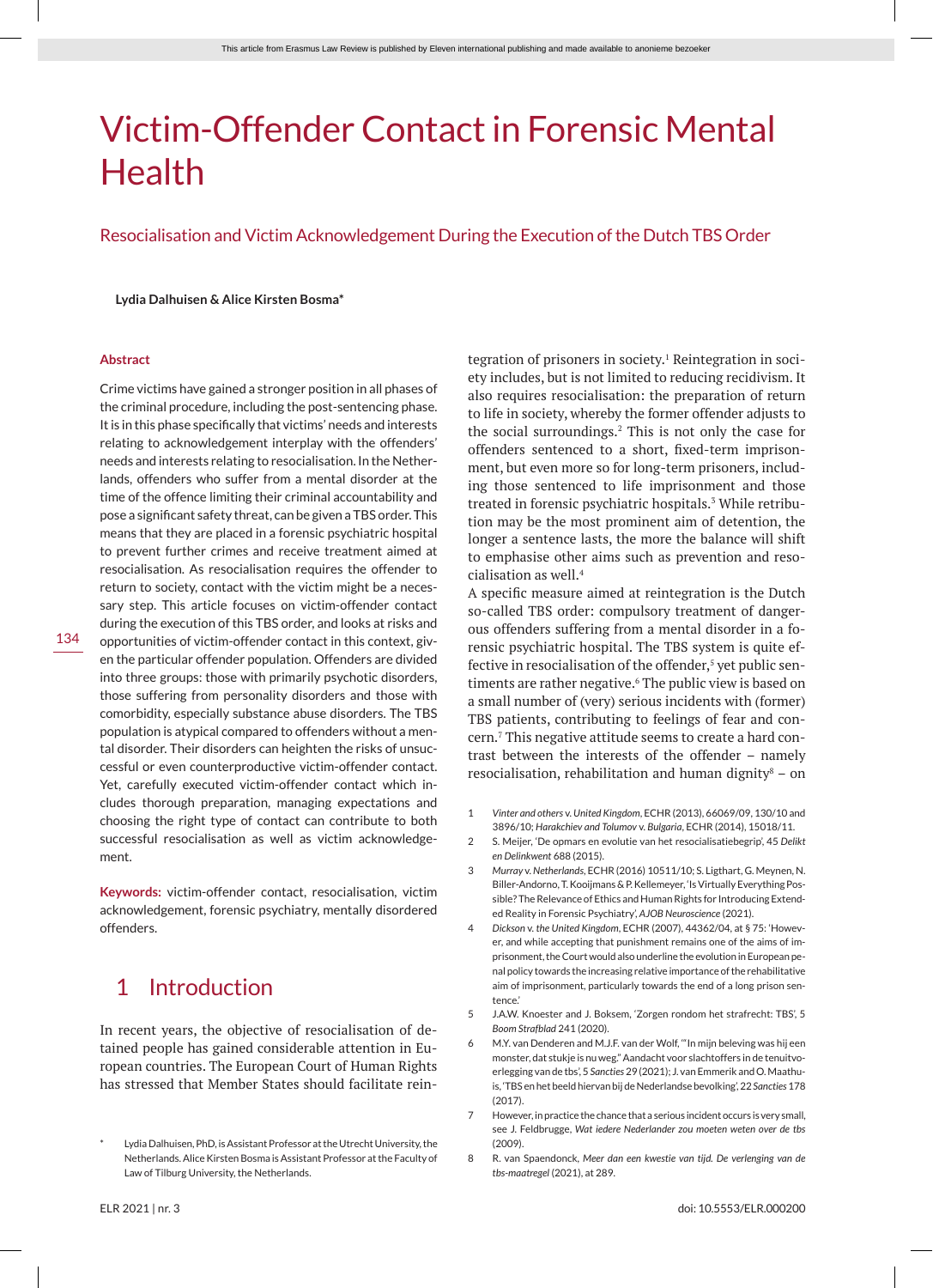# Victim-Offender Contact in Forensic Mental Health

Resocialisation and Victim Acknowledgement During the Execution of the Dutch TBS Order

#### **Lydia Dalhuisen & Alice Kirsten Bosma\***

#### **Abstract**

Crime victims have gained a stronger position in all phases of the criminal procedure, including the post-sentencing phase. It is in this phase specifically that victims' needs and interests relating to acknowledgement interplay with the offenders' needs and interests relating to resocialisation. In the Netherlands, offenders who suffer from a mental disorder at the time of the offence limiting their criminal accountability and pose a significant safety threat, can be given a TBS order. This means that they are placed in a forensic psychiatric hospital to prevent further crimes and receive treatment aimed at resocialisation. As resocialisation requires the offender to return to society, contact with the victim might be a necessary step. This article focuses on victim-offender contact during the execution of this TBS order, and looks at risks and opportunities of victim-offender contact in this context, given the particular offender population. Offenders are divided into three groups: those with primarily psychotic disorders, those suffering from personality disorders and those with comorbidity, especially substance abuse disorders. The TBS population is atypical compared to offenders without a mental disorder. Their disorders can heighten the risks of unsuccessful or even counterproductive victim-offender contact. Yet, carefully executed victim-offender contact which includes thorough preparation, managing expectations and choosing the right type of contact can contribute to both successful resocialisation as well as victim acknowledgement.

**Keywords:** victim-offender contact, resocialisation, victim acknowledgement, forensic psychiatry, mentally disordered offenders.

# 1 Introduction

In recent years, the objective of resocialisation of detained people has gained considerable attention in European countries. The European Court of Human Rights has stressed that Member States should facilitate rein-

tegration of prisoners in society.<sup>1</sup> Reintegration in society includes, but is not limited to reducing recidivism. It also requires resocialisation: the preparation of return to life in society, whereby the former offender adjusts to the social surroundings.2 This is not only the case for offenders sentenced to a short, fixed-term imprisonment, but even more so for long-term prisoners, including those sentenced to life imprisonment and those treated in forensic psychiatric hospitals.<sup>3</sup> While retribution may be the most prominent aim of detention, the longer a sentence lasts, the more the balance will shift to emphasise other aims such as prevention and resocialisation as well.4

A specific measure aimed at reintegration is the Dutch so-called TBS order: compulsory treatment of dangerous offenders suffering from a mental disorder in a forensic psychiatric hospital. The TBS system is quite effective in resocialisation of the offender,<sup>5</sup> yet public sentiments are rather negative.<sup>6</sup> The public view is based on a small number of (very) serious incidents with (former) TBS patients, contributing to feelings of fear and concern.7 This negative attitude seems to create a hard contrast between the interests of the offender – namely resocialisation, rehabilitation and human dignity $\delta$  – on

- 1 *Vinter and others* v. *United Kingdom*, ECHR (2013), 66069/09, 130/10 and 3896/10; *Harakchiev and Tolumov* v. *Bulgaria*, ECHR (2014), 15018/11.
- 2 S. Meijer, 'De opmars en evolutie van het resocialisatiebegrip', 45 *Delikt en Delinkwent* 688 (2015).
- 3 *Murray* v. *Netherlands*, ECHR (2016) 10511/10; S. Ligthart, G. Meynen, N. Biller-Andorno, T. Kooijmans & P. Kellemeyer, 'Is Virtually Everything Possible? The Relevance of Ethics and Human Rights for Introducing Extended Reality in Forensic Psychiatry', *AJOB Neuroscience* (2021).
- 4 *Dickson* v. *the United Kingdom*, ECHR (2007), 44362/04, at § 75: 'However, and while accepting that punishment remains one of the aims of imprisonment, the Court would also underline the evolution in European penal policy towards the increasing relative importance of the rehabilitative aim of imprisonment, particularly towards the end of a long prison sentence.'
- 5 J.A.W. Knoester and J. Boksem, 'Zorgen rondom het strafrecht: TBS', 5 *Boom Strafblad* 241 (2020).
- 6 M.Y. van Denderen and M.J.F. van der Wolf, '"In mijn beleving was hij een monster, dat stukje is nu weg." Aandacht voor slachtoffers in de tenuitvoerlegging van de tbs', 5 *Sancties* 29 (2021); J. van Emmerik and O. Maathuis, 'TBS en het beeld hiervan bij de Nederlandse bevolking', 22 *Sancties* 178 (2017).
- 7 However, in practice the chance that a serious incident occurs is very small, see J. Feldbrugge, *Wat iedere Nederlander zou moeten weten over de tbs* (2009).
- 8 R. van Spaendonck, *Meer dan een kwestie van tijd. De verlenging van de tbs-maatregel* (2021), at 289.

Lydia Dalhuisen, PhD, is Assistant Professor at the Utrecht University, the Netherlands. Alice Kirsten Bosma is Assistant Professor at the Faculty of Law of Tilburg University, the Netherlands.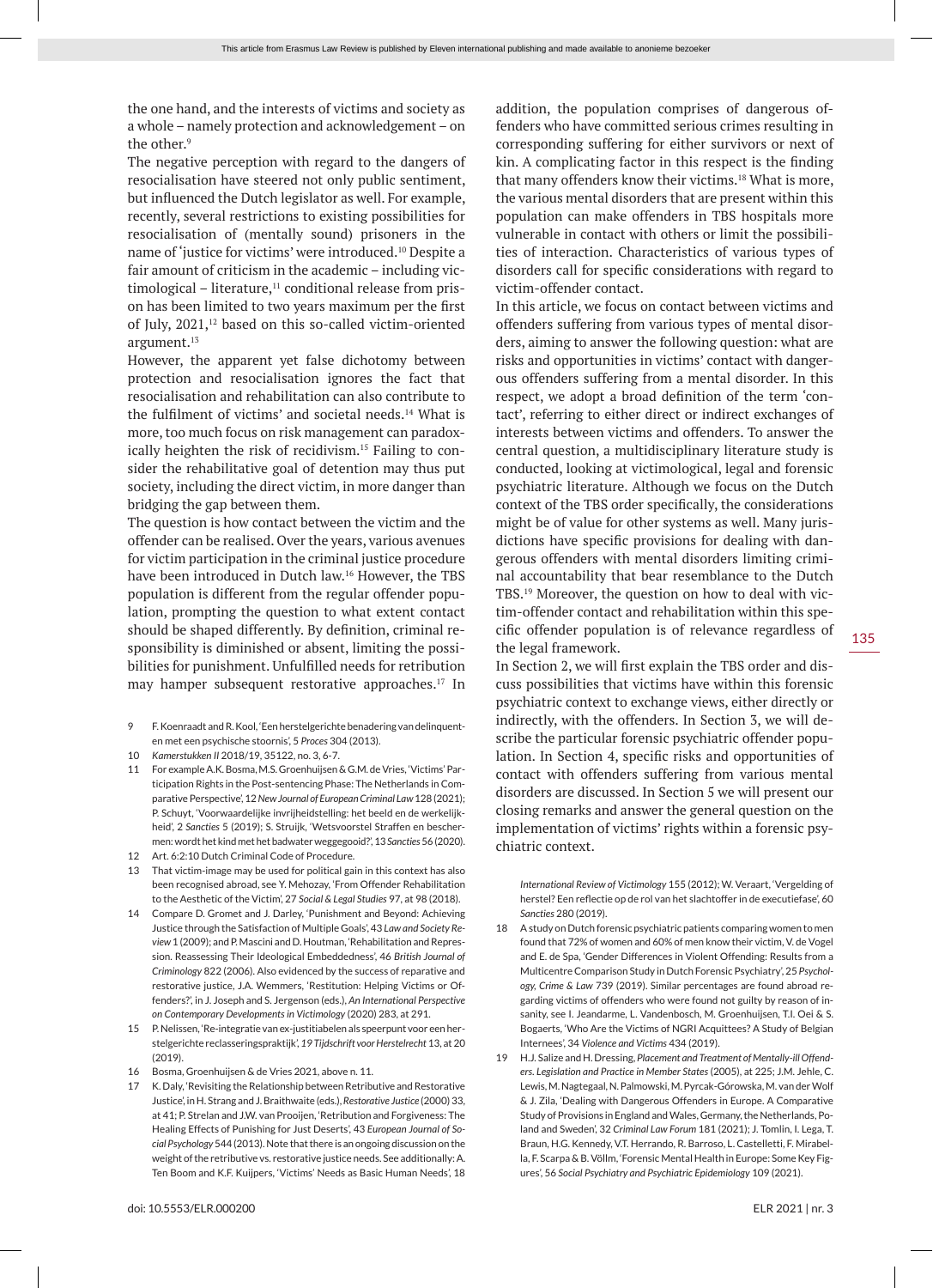the one hand, and the interests of victims and society as a whole – namely protection and acknowledgement – on the other<sup>9</sup>

The negative perception with regard to the dangers of resocialisation have steered not only public sentiment, but influenced the Dutch legislator as well. For example, recently, several restrictions to existing possibilities for resocialisation of (mentally sound) prisoners in the name of 'justice for victims' were introduced.10 Despite a fair amount of criticism in the academic – including vic $timological - literature<sup>11</sup> conditional release from pris$ on has been limited to two years maximum per the first of July, 2021,<sup>12</sup> based on this so-called victim-oriented argument.13

However, the apparent yet false dichotomy between protection and resocialisation ignores the fact that resocialisation and rehabilitation can also contribute to the fulfilment of victims' and societal needs.<sup>14</sup> What is more, too much focus on risk management can paradoxically heighten the risk of recidivism.15 Failing to consider the rehabilitative goal of detention may thus put society, including the direct victim, in more danger than bridging the gap between them.

The question is how contact between the victim and the offender can be realised. Over the years, various avenues for victim participation in the criminal justice procedure have been introduced in Dutch law.<sup>16</sup> However, the TBS population is different from the regular offender population, prompting the question to what extent contact should be shaped differently. By definition, criminal responsibility is diminished or absent, limiting the possibilities for punishment. Unfulfilled needs for retribution may hamper subsequent restorative approaches.<sup>17</sup> In

- 9 F. Koenraadt and R. Kool, 'Een herstelgerichte benadering van delinquenten met een psychische stoornis', 5 *Proces* 304 (2013).
- 10 *Kamerstukken II* 2018/19, 35122, no. 3, 6-7.
- 11 For example A.K. Bosma, M.S. Groenhuijsen & G.M. de Vries, 'Victims' Participation Rights in the Post-sentencing Phase: The Netherlands in Comparative Perspective', 12 *New Journal of European Criminal Law* 128 (2021); P. Schuyt, 'Voorwaardelijke invrijheidstelling: het beeld en de werkelijkheid', 2 *Sancties* 5 (2019); S. Struijk, 'Wetsvoorstel Straffen en beschermen: wordt het kind met het badwater weggegooid?', 13 *Sancties* 56 (2020).
- 12 Art. 6:2:10 Dutch Criminal Code of Procedure.
- That victim-image may be used for political gain in this context has also been recognised abroad, see Y. Mehozay, 'From Offender Rehabilitation to the Aesthetic of the Victim', 27 *Social & Legal Studies* 97, at 98 (2018).
- 14 Compare D. Gromet and J. Darley, 'Punishment and Beyond: Achieving Justice through the Satisfaction of Multiple Goals', 43 *Law and Society Review* 1 (2009); and P. Mascini and D. Houtman, 'Rehabilitation and Repression. Reassessing Their Ideological Embeddedness', 46 *British Journal of Criminology* 822 (2006). Also evidenced by the success of reparative and restorative justice, J.A. Wemmers, 'Restitution: Helping Victims or Offenders?', in J. Joseph and S. Jergenson (eds.), *An International Perspective on Contemporary Developments in Victimology* (2020) 283, at 291.
- 15 P. Nelissen, 'Re-integratie van ex-justitiabelen als speerpunt voor een herstelgerichte reclasseringspraktijk', *19 Tijdschrift voor Herstelrecht* 13, at 20 (2019).
- 16 Bosma, Groenhuijsen & de Vries 2021, above n. 11.
- 17 K. Daly, 'Revisiting the Relationship between Retributive and Restorative Justice', in H. Strang and J. Braithwaite (eds.), *Restorative Justice* (2000) 33, at 41; P. Strelan and J.W. van Prooijen, 'Retribution and Forgiveness: The Healing Effects of Punishing for Just Deserts', 43 *European Journal of Social Psychology* 544 (2013). Note that there is an ongoing discussion on the weight of the retributive vs. restorative justice needs. See additionally: A. Ten Boom and K.F. Kuijpers, 'Victims' Needs as Basic Human Needs', 18

doi: 10.5553/ELR.000200 ELR 2021 | nr. 3

addition, the population comprises of dangerous offenders who have committed serious crimes resulting in corresponding suffering for either survivors or next of kin. A complicating factor in this respect is the finding that many offenders know their victims.18 What is more, the various mental disorders that are present within this population can make offenders in TBS hospitals more vulnerable in contact with others or limit the possibilities of interaction. Characteristics of various types of disorders call for specific considerations with regard to victim-offender contact.

In this article, we focus on contact between victims and offenders suffering from various types of mental disorders, aiming to answer the following question: what are risks and opportunities in victims' contact with dangerous offenders suffering from a mental disorder. In this respect, we adopt a broad definition of the term 'contact', referring to either direct or indirect exchanges of interests between victims and offenders. To answer the central question, a multidisciplinary literature study is conducted, looking at victimological, legal and forensic psychiatric literature. Although we focus on the Dutch context of the TBS order specifically, the considerations might be of value for other systems as well. Many jurisdictions have specific provisions for dealing with dangerous offenders with mental disorders limiting criminal accountability that bear resemblance to the Dutch TBS.19 Moreover, the question on how to deal with victim-offender contact and rehabilitation within this specific offender population is of relevance regardless of the legal framework.

In Section 2, we will first explain the TBS order and discuss possibilities that victims have within this forensic psychiatric context to exchange views, either directly or indirectly, with the offenders. In Section 3, we will describe the particular forensic psychiatric offender population. In Section 4, specific risks and opportunities of contact with offenders suffering from various mental disorders are discussed. In Section 5 we will present our closing remarks and answer the general question on the implementation of victims' rights within a forensic psychiatric context.

*International Review of Victimology* 155 (2012); W. Veraart, 'Vergelding of herstel? Een reflectie op de rol van het slachtoffer in de executiefase', 60 *Sancties* 280 (2019).

- 18 A study on Dutch forensic psychiatric patients comparing women to men found that 72% of women and 60% of men know their victim, V. de Vogel and E. de Spa, 'Gender Differences in Violent Offending: Results from a Multicentre Comparison Study in Dutch Forensic Psychiatry', 25 *Psychology, Crime & Law* 739 (2019). Similar percentages are found abroad regarding victims of offenders who were found not guilty by reason of insanity, see I. Jeandarme, L. Vandenbosch, M. Groenhuijsen, T.I. Oei & S. Bogaerts, 'Who Are the Victims of NGRI Acquittees? A Study of Belgian Internees', 34 *Violence and Victims* 434 (2019).
- 19 H.J. Salize and H. Dressing, *Placement and Treatment of Mentally-ill Offenders. Legislation and Practice in Member States* (2005), at 225; J.M. Jehle, C. Lewis, M. Nagtegaal, N. Palmowski, M. Pyrcak-Górowska, M. van der Wolf & J. Zila, 'Dealing with Dangerous Offenders in Europe. A Comparative Study of Provisions in England and Wales, Germany, the Netherlands, Poland and Sweden', 32 *Criminal Law Forum* 181 (2021); J. Tomlin, I. Lega, T. Braun, H.G. Kennedy, V.T. Herrando, R. Barroso, L. Castelletti, F. Mirabella, F. Scarpa & B. Völlm, 'Forensic Mental Health in Europe: Some Key Figures', 56 *Social Psychiatry and Psychiatric Epidemiology* 109 (2021).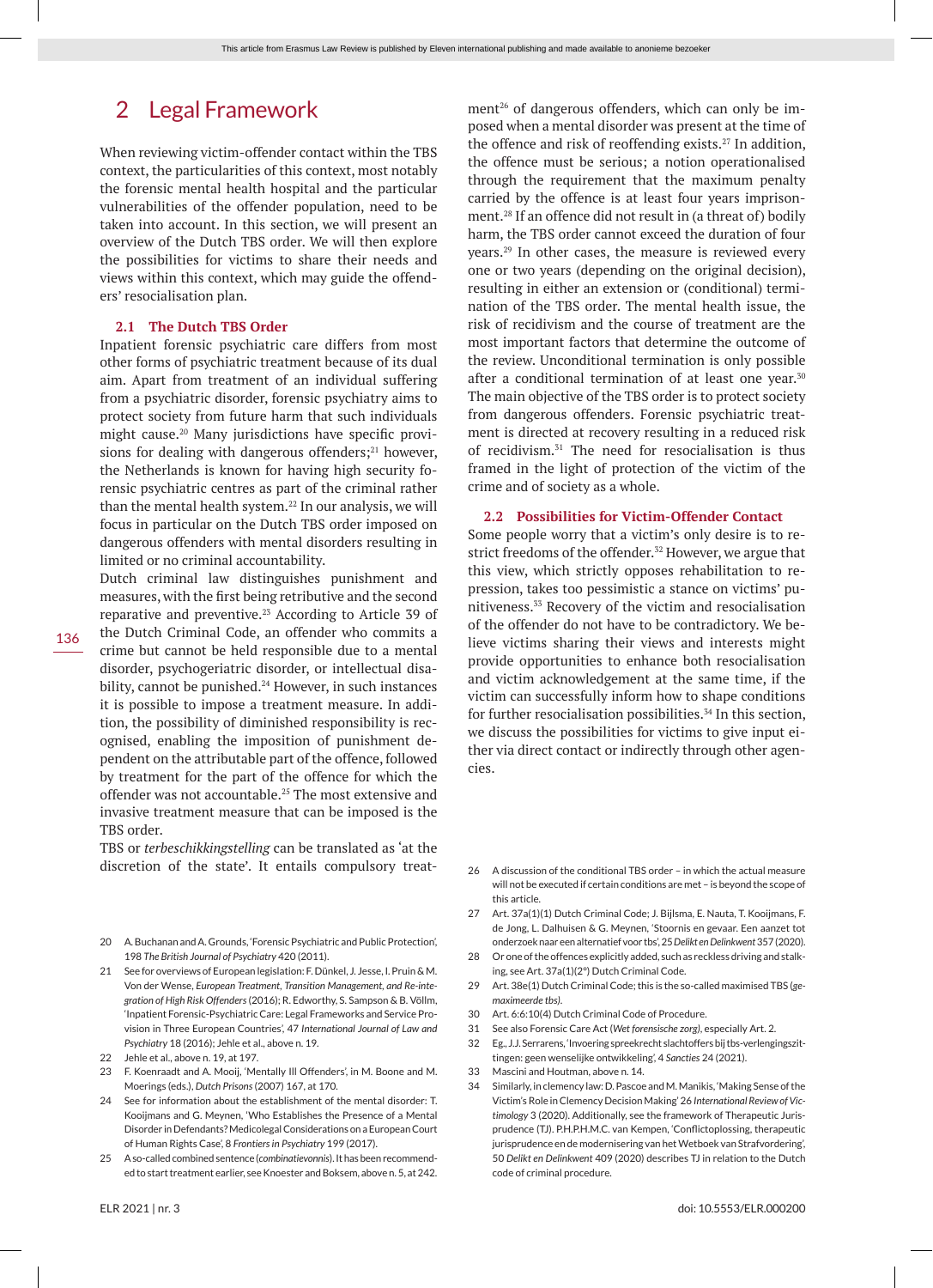# 2 Legal Framework

When reviewing victim-offender contact within the TBS context, the particularities of this context, most notably the forensic mental health hospital and the particular vulnerabilities of the offender population, need to be taken into account. In this section, we will present an overview of the Dutch TBS order. We will then explore the possibilities for victims to share their needs and views within this context, which may guide the offenders' resocialisation plan.

#### **2.1 The Dutch TBS Order**

Inpatient forensic psychiatric care differs from most other forms of psychiatric treatment because of its dual aim. Apart from treatment of an individual suffering from a psychiatric disorder, forensic psychiatry aims to protect society from future harm that such individuals might cause.20 Many jurisdictions have specific provisions for dealing with dangerous offenders; $21$  however, the Netherlands is known for having high security forensic psychiatric centres as part of the criminal rather than the mental health system.<sup>22</sup> In our analysis, we will focus in particular on the Dutch TBS order imposed on dangerous offenders with mental disorders resulting in limited or no criminal accountability.

Dutch criminal law distinguishes punishment and measures, with the first being retributive and the second reparative and preventive.23 According to Article 39 of the Dutch Criminal Code, an offender who commits a crime but cannot be held responsible due to a mental disorder, psychogeriatric disorder, or intellectual disability, cannot be punished.<sup>24</sup> However, in such instances it is possible to impose a treatment measure. In addition, the possibility of diminished responsibility is recognised, enabling the imposition of punishment dependent on the attributable part of the offence, followed by treatment for the part of the offence for which the offender was not accountable.<sup>25</sup> The most extensive and invasive treatment measure that can be imposed is the TBS order.

TBS or *terbeschikkingstelling* can be translated as 'at the discretion of the state'. It entails compulsory treat-

- 20 A. Buchanan and A. Grounds, 'Forensic Psychiatric and Public Protection', 198 *The British Journal of Psychiatry* 420 (2011).
- 21 See for overviews of European legislation: F. Dünkel, J. Jesse, I. Pruin & M. Von der Wense, *European Treatment, Transition Management, and Re-integration of High Risk Offenders* (2016); R. Edworthy, S. Sampson & B. Völlm, 'Inpatient Forensic-Psychiatric Care: Legal Frameworks and Service Provision in Three European Countries', 47 *International Journal of Law and Psychiatry* 18 (2016); Jehle et al., above n. 19.
- 22 Jehle et al., above n. 19, at 197.
- 23 F. Koenraadt and A. Mooij, 'Mentally Ill Offenders', in M. Boone and M. Moerings (eds.), *Dutch Prisons* (2007) 167, at 170.
- 24 See for information about the establishment of the mental disorder: T. Kooijmans and G. Meynen, 'Who Establishes the Presence of a Mental Disorder in Defendants? Medicolegal Considerations on a European Court of Human Rights Case', 8 *Frontiers in Psychiatry* 199 (2017).
- 25 A so-called combined sentence (*combinatievonnis*). It has been recommended to start treatment earlier, see Knoester and Boksem, above n. 5, at 242.

ment<sup>26</sup> of dangerous offenders, which can only be imposed when a mental disorder was present at the time of the offence and risk of reoffending exists.27 In addition, the offence must be serious; a notion operationalised through the requirement that the maximum penalty carried by the offence is at least four years imprisonment.<sup>28</sup> If an offence did not result in (a threat of) bodily harm, the TBS order cannot exceed the duration of four years.29 In other cases, the measure is reviewed every one or two years (depending on the original decision), resulting in either an extension or (conditional) termination of the TBS order. The mental health issue, the risk of recidivism and the course of treatment are the most important factors that determine the outcome of the review. Unconditional termination is only possible after a conditional termination of at least one year.<sup>30</sup> The main objective of the TBS order is to protect society from dangerous offenders. Forensic psychiatric treatment is directed at recovery resulting in a reduced risk of recidivism.31 The need for resocialisation is thus framed in the light of protection of the victim of the crime and of society as a whole.

### **2.2 Possibilities for Victim-Offender Contact**

Some people worry that a victim's only desire is to restrict freedoms of the offender.<sup>32</sup> However, we argue that this view, which strictly opposes rehabilitation to repression, takes too pessimistic a stance on victims' punitiveness.33 Recovery of the victim and resocialisation of the offender do not have to be contradictory. We believe victims sharing their views and interests might provide opportunities to enhance both resocialisation and victim acknowledgement at the same time, if the victim can successfully inform how to shape conditions for further resocialisation possibilities. $34$  In this section, we discuss the possibilities for victims to give input either via direct contact or indirectly through other agencies.

- 26 A discussion of the conditional TBS order in which the actual measure will not be executed if certain conditions are met – is beyond the scope of this article.
- 27 Art. 37a(1)(1) Dutch Criminal Code; J. Bijlsma, E. Nauta, T. Kooijmans, F. de Jong, L. Dalhuisen & G. Meynen, 'Stoornis en gevaar. Een aanzet tot onderzoek naar een alternatief voor tbs', 25 *Delikt en Delinkwent* 357 (2020).
- 28 Or one of the offences explicitly added, such as reckless driving and stalking, see Art. 37a(1)(2°) Dutch Criminal Code.
- 29 Art. 38e(1) Dutch Criminal Code; this is the so-called maximised TBS (*gemaximeerde tbs)*.
- 30 Art. 6:6:10(4) Dutch Criminal Code of Procedure.
- 31 See also Forensic Care Act (*Wet forensische zorg)*, especially Art. 2.
- 32 Eg., J.J. Serrarens, 'Invoering spreekrecht slachtoffers bij tbs-verlengingszittingen: geen wenselijke ontwikkeling', 4 *Sancties* 24 (2021).
- 33 Mascini and Houtman, above n. 14.
- 34 Similarly, in clemency law: D. Pascoe and M. Manikis, 'Making Sense of the Victim's Role in Clemency Decision Making' 26 *International Review of Victimology* 3 (2020). Additionally, see the framework of Therapeutic Jurisprudence (TJ). P.H.P.H.M.C. van Kempen, 'Conflictoplossing, therapeutic jurisprudence en de modernisering van het Wetboek van Strafvordering', 50 *Delikt en Delinkwent* 409 (2020) describes TJ in relation to the Dutch code of criminal procedure.

136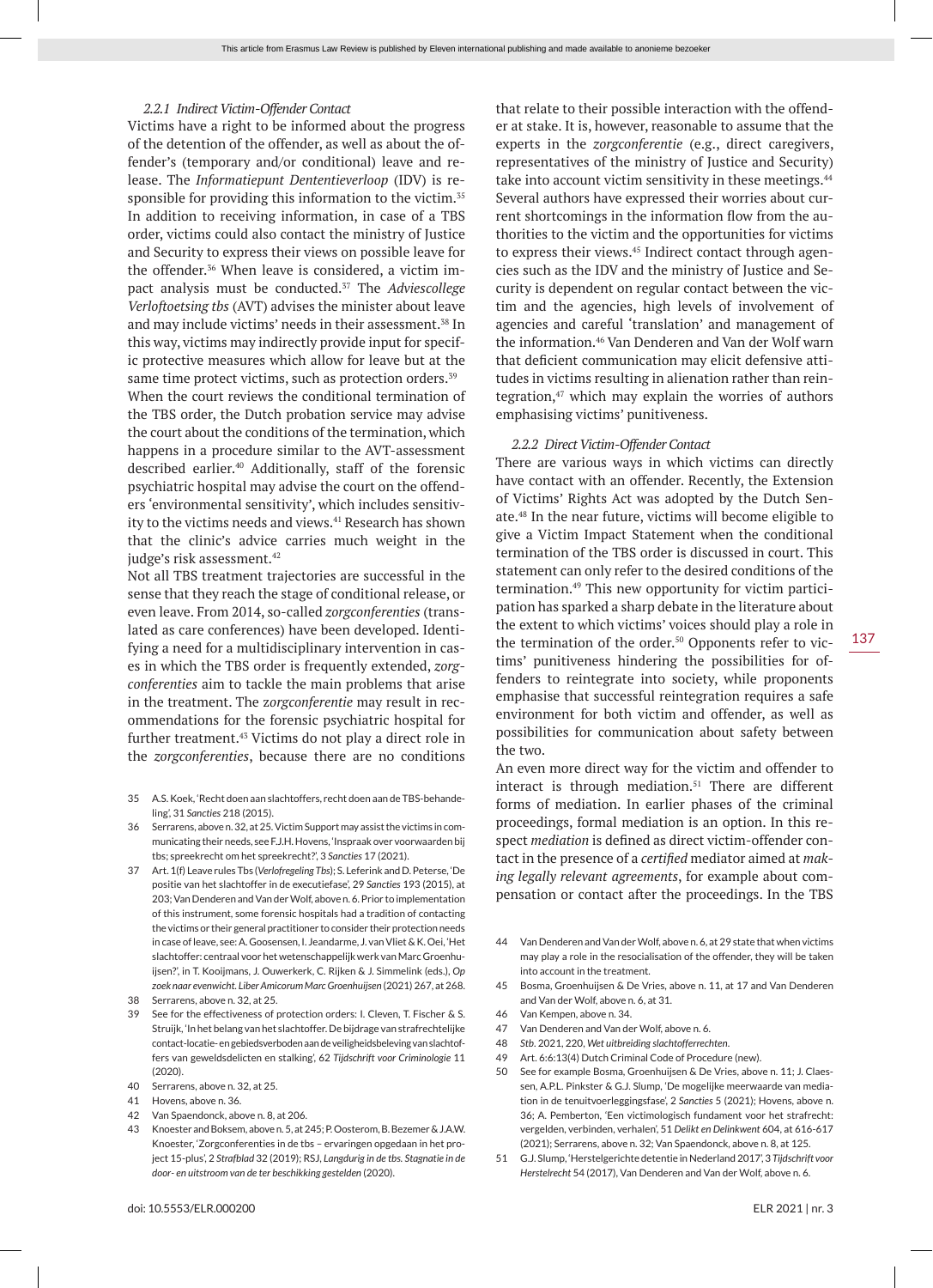### *2.2.1 Indirect Victim-Offender Contact*

Victims have a right to be informed about the progress of the detention of the offender, as well as about the offender's (temporary and/or conditional) leave and release. The *Informatiepunt Dententieverloop* (IDV) is responsible for providing this information to the victim.<sup>35</sup> In addition to receiving information, in case of a TBS order, victims could also contact the ministry of Justice and Security to express their views on possible leave for the offender.<sup>36</sup> When leave is considered, a victim impact analysis must be conducted.37 The *Adviescollege Verloftoetsing tbs* (AVT) advises the minister about leave and may include victims' needs in their assessment.<sup>38</sup> In this way, victims may indirectly provide input for specific protective measures which allow for leave but at the same time protect victims, such as protection orders.<sup>39</sup>

When the court reviews the conditional termination of the TBS order, the Dutch probation service may advise the court about the conditions of the termination, which happens in a procedure similar to the AVT-assessment described earlier.40 Additionally, staff of the forensic psychiatric hospital may advise the court on the offenders 'environmental sensitivity', which includes sensitivity to the victims needs and views.<sup>41</sup> Research has shown that the clinic's advice carries much weight in the judge's risk assessment.<sup>42</sup>

Not all TBS treatment trajectories are successful in the sense that they reach the stage of conditional release, or even leave. From 2014, so-called *zorgconferenties* (translated as care conferences) have been developed. Identifying a need for a multidisciplinary intervention in cases in which the TBS order is frequently extended, *zorgconferenties* aim to tackle the main problems that arise in the treatment. The z*orgconferentie* may result in recommendations for the forensic psychiatric hospital for further treatment.43 Victims do not play a direct role in the *zorgconferenties*, because there are no conditions

- 35 A.S. Koek, 'Recht doen aan slachtoffers, recht doen aan de TBS-behandeling', 31 *Sancties* 218 (2015).
- 36 Serrarens, above n. 32, at 25. Victim Support may assist the victims in communicating their needs, see F.J.H. Hovens, 'Inspraak over voorwaarden bij tbs; spreekrecht om het spreekrecht?', 3 *Sancties* 17 (2021).
- 37 Art. 1(f) Leave rules Tbs (*Verlofregeling Tbs*); S. Leferink and D. Peterse, 'De positie van het slachtoffer in de executiefase', 29 *Sancties* 193 (2015), at 203; Van Denderen and Van der Wolf, above n. 6. Prior to implementation of this instrument, some forensic hospitals had a tradition of contacting the victims or their general practitioner to consider their protection needs in case of leave, see: A. Goosensen, I. Jeandarme, J. van Vliet & K. Oei, 'Het slachtoffer: centraal voor het wetenschappelijk werk van Marc Groenhuijsen?', in T. Kooijmans, J. Ouwerkerk, C. Rijken & J. Simmelink (eds.), *Op zoek naar evenwicht. Liber Amicorum Marc Groenhuijsen* (2021) 267, at 268.
- 38 Serrarens, above n. 32, at 25.
- 39 See for the effectiveness of protection orders: I. Cleven, T. Fischer & S. Struijk, 'In het belang van het slachtoffer. De bijdrage van strafrechtelijke contact-locatie- en gebiedsverboden aan de veiligheidsbeleving van slachtoffers van geweldsdelicten en stalking', 62 *Tijdschrift voor Criminologie* 11 (2020).
- 40 Serrarens, above n. 32, at 25.
- 41 Hovens, above n. 36.
- 42 Van Spaendonck, above n. 8, at 206.
- 43 Knoester and Boksem, above n. 5, at 245; P. Oosterom, B. Bezemer & J.A.W. Knoester, 'Zorgconferenties in de tbs – ervaringen opgedaan in het project 15-plus', 2 *Strafblad* 32 (2019); RSJ, *Langdurig in de tbs. Stagnatie in de door- en uitstroom van de ter beschikking gestelden* (2020).

that relate to their possible interaction with the offender at stake. It is, however, reasonable to assume that the experts in the *zorgconferentie* (e.g., direct caregivers, representatives of the ministry of Justice and Security) take into account victim sensitivity in these meetings.<sup>44</sup> Several authors have expressed their worries about current shortcomings in the information flow from the authorities to the victim and the opportunities for victims to express their views.<sup>45</sup> Indirect contact through agencies such as the IDV and the ministry of Justice and Security is dependent on regular contact between the victim and the agencies, high levels of involvement of agencies and careful 'translation' and management of the information.46 Van Denderen and Van der Wolf warn that deficient communication may elicit defensive attitudes in victims resulting in alienation rather than reintegration, $47$  which may explain the worries of authors emphasising victims' punitiveness.

### *2.2.2 Direct Victim-Offender Contact*

There are various ways in which victims can directly have contact with an offender. Recently, the Extension of Victims' Rights Act was adopted by the Dutch Senate.48 In the near future, victims will become eligible to give a Victim Impact Statement when the conditional termination of the TBS order is discussed in court. This statement can only refer to the desired conditions of the termination.49 This new opportunity for victim participation has sparked a sharp debate in the literature about the extent to which victims' voices should play a role in the termination of the order.<sup>50</sup> Opponents refer to victims' punitiveness hindering the possibilities for offenders to reintegrate into society, while proponents emphasise that successful reintegration requires a safe environment for both victim and offender, as well as possibilities for communication about safety between the two.

An even more direct way for the victim and offender to interact is through mediation.<sup>51</sup> There are different forms of mediation. In earlier phases of the criminal proceedings, formal mediation is an option. In this respect *mediation* is defined as direct victim-offender contact in the presence of a *certified* mediator aimed at *making legally relevant agreements*, for example about compensation or contact after the proceedings. In the TBS

- 44 Van Denderen and Van der Wolf, above n. 6, at 29 state that when victims may play a role in the resocialisation of the offender, they will be taken into account in the treatment.
- 45 Bosma, Groenhuijsen & De Vries, above n. 11, at 17 and Van Denderen and Van der Wolf, above n. 6, at 31.
- 46 Van Kempen, above n. 34.
- 47 Van Denderen and Van der Wolf, above n. 6.
- 48 *Stb*. 2021, 220, *Wet uitbreiding slachtofferrechten*.
- 49 Art. 6:6:13(4) Dutch Criminal Code of Procedure (new).
- 50 See for example Bosma, Groenhuijsen & De Vries, above n. 11; J. Claessen, A.P.L. Pinkster & G.J. Slump, 'De mogelijke meerwaarde van mediation in de tenuitvoerleggingsfase', 2 *Sancties* 5 (2021); Hovens, above n. 36; A. Pemberton, 'Een victimologisch fundament voor het strafrecht: vergelden, verbinden, verhalen', 51 *Delikt en Delinkwent* 604, at 616-617 (2021); Serrarens, above n. 32; Van Spaendonck, above n. 8, at 125.
- 51 G.J. Slump, 'Herstelgerichte detentie in Nederland 2017', 3 *Tijdschrift voor Herstelrecht* 54 (2017), Van Denderen and Van der Wolf, above n. 6.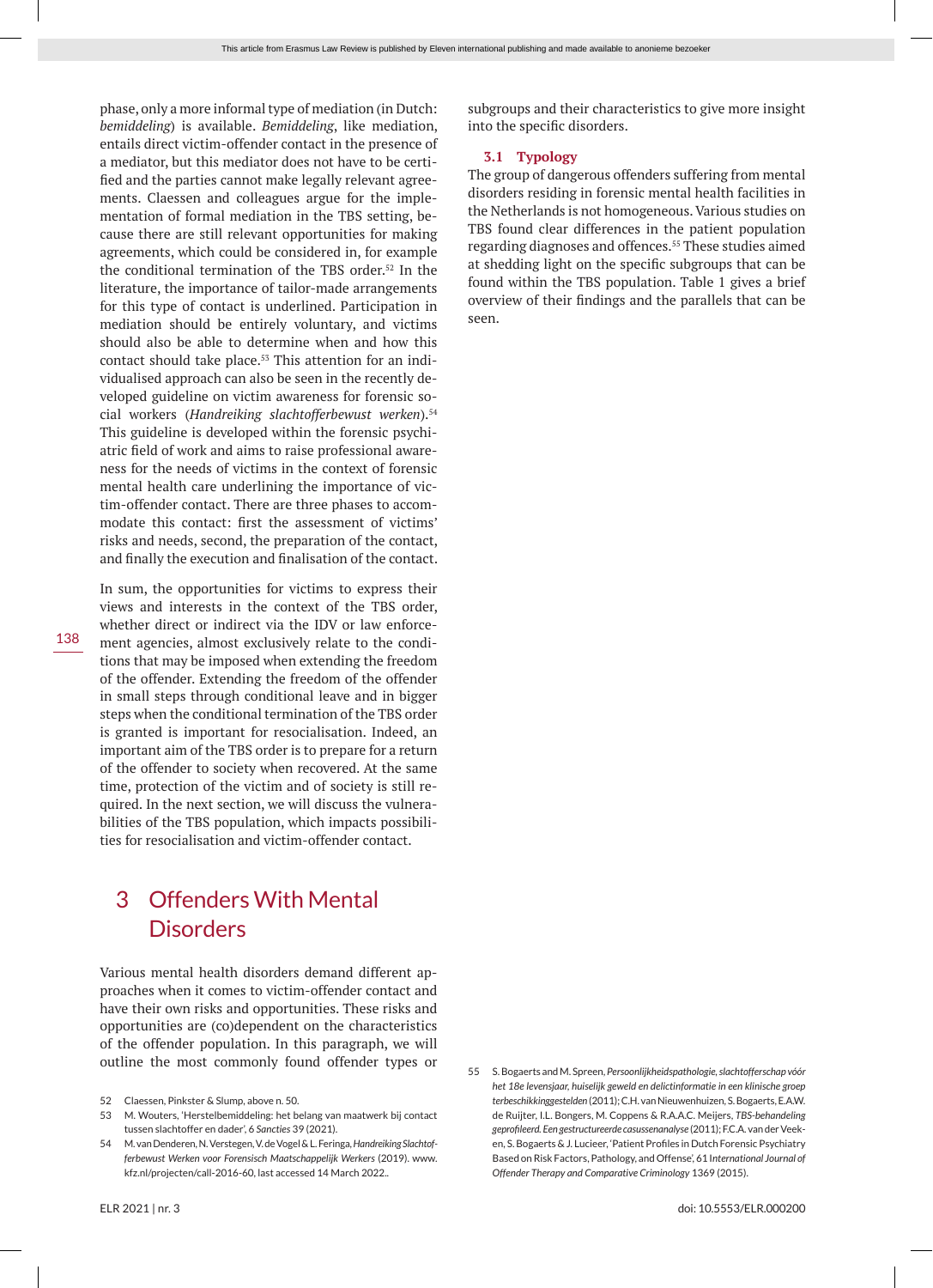phase, only a more informal type of mediation (in Dutch: *bemiddeling*) is available. *Bemiddeling*, like mediation, entails direct victim-offender contact in the presence of a mediator, but this mediator does not have to be certified and the parties cannot make legally relevant agreements. Claessen and colleagues argue for the implementation of formal mediation in the TBS setting, because there are still relevant opportunities for making agreements, which could be considered in, for example the conditional termination of the TBS order.<sup>52</sup> In the literature, the importance of tailor-made arrangements for this type of contact is underlined. Participation in mediation should be entirely voluntary, and victims should also be able to determine when and how this contact should take place.<sup>53</sup> This attention for an individualised approach can also be seen in the recently developed guideline on victim awareness for forensic social workers (*Handreiking slachtofferbewust werken*).54 This guideline is developed within the forensic psychiatric field of work and aims to raise professional awareness for the needs of victims in the context of forensic mental health care underlining the importance of victim-offender contact. There are three phases to accommodate this contact: first the assessment of victims' risks and needs, second, the preparation of the contact, and finally the execution and finalisation of the contact.

138

In sum, the opportunities for victims to express their views and interests in the context of the TBS order, whether direct or indirect via the IDV or law enforcement agencies, almost exclusively relate to the conditions that may be imposed when extending the freedom of the offender. Extending the freedom of the offender in small steps through conditional leave and in bigger steps when the conditional termination of the TBS order is granted is important for resocialisation. Indeed, an important aim of the TBS order is to prepare for a return of the offender to society when recovered. At the same time, protection of the victim and of society is still required. In the next section, we will discuss the vulnerabilities of the TBS population, which impacts possibilities for resocialisation and victim-offender contact.

# 3 Offenders With Mental **Disorders**

Various mental health disorders demand different approaches when it comes to victim-offender contact and have their own risks and opportunities. These risks and opportunities are (co)dependent on the characteristics of the offender population. In this paragraph, we will outline the most commonly found offender types or

53 M. Wouters, 'Herstelbemiddeling: het belang van maatwerk bij contact tussen slachtoffer en dader', 6 *Sancties* 39 (2021).

subgroups and their characteristics to give more insight into the specific disorders.

# **3.1 Typology**

The group of dangerous offenders suffering from mental disorders residing in forensic mental health facilities in the Netherlands is not homogeneous. Various studies on TBS found clear differences in the patient population regarding diagnoses and offences.<sup>55</sup> These studies aimed at shedding light on the specific subgroups that can be found within the TBS population. Table 1 gives a brief overview of their findings and the parallels that can be seen.

<sup>52</sup> Claessen, Pinkster & Slump, above n. 50.

<sup>54</sup> M. van Denderen, N. Verstegen, V. de Vogel & L. Feringa, *Handreiking Slachtofferbewust Werken voor Forensisch Maatschappelijk Werkers* (2019). www. kfz.nl/projecten/call-2016-60, last accessed 14 March 2022..

<sup>55</sup> S. Bogaerts and M. Spreen, *Persoonlijkheidspathologie, slachtofferschap vóór het 18e levensjaar, huiselijk geweld en delictinformatie in een klinische groep terbeschikkinggestelden* (2011); C.H. van Nieuwenhuizen, S. Bogaerts, E.A.W. de Ruijter, I.L. Bongers, M. Coppens & R.A.A.C. Meijers, *TBS-behandeling geprofileerd. Een gestructureerde casussenanalyse* (2011); F.C.A. van der Veeken, S. Bogaerts & J. Lucieer, 'Patient Profiles in Dutch Forensic Psychiatry Based on Risk Factors, Pathology, and Offense', 61 I*nternational Journal of Offender Therapy and Comparative Criminology* 1369 (2015).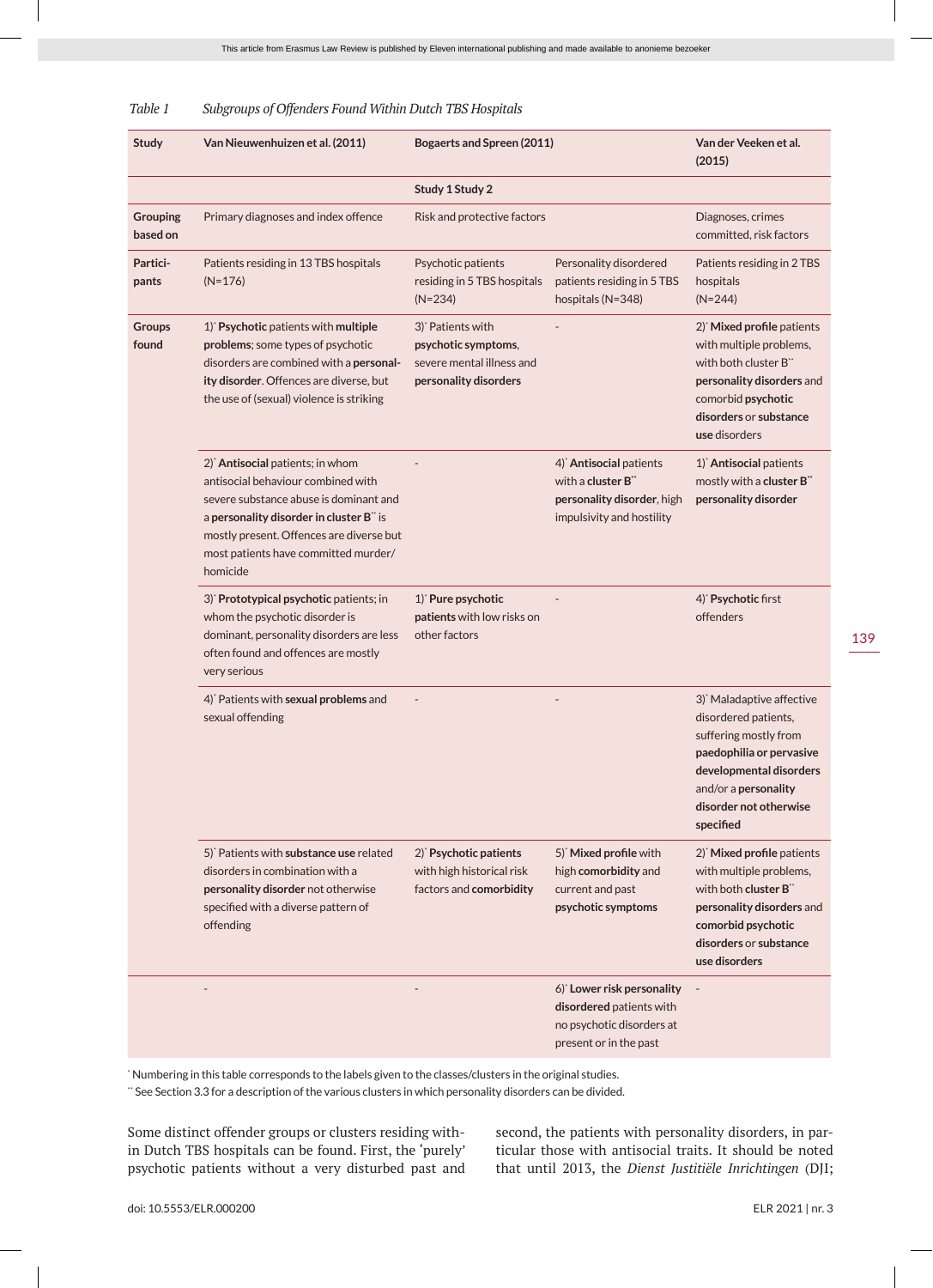| <b>Study</b>                | Van Nieuwenhuizen et al. (2011)                                                                                                                                                                                                                                         | <b>Bogaerts and Spreen (2011)</b>                                                                          |                                                                                                              | Van der Veeken et al.<br>(2015)                                                                                                                                                                              |
|-----------------------------|-------------------------------------------------------------------------------------------------------------------------------------------------------------------------------------------------------------------------------------------------------------------------|------------------------------------------------------------------------------------------------------------|--------------------------------------------------------------------------------------------------------------|--------------------------------------------------------------------------------------------------------------------------------------------------------------------------------------------------------------|
|                             |                                                                                                                                                                                                                                                                         | Study 1 Study 2                                                                                            |                                                                                                              |                                                                                                                                                                                                              |
| <b>Grouping</b><br>based on | Primary diagnoses and index offence                                                                                                                                                                                                                                     | Risk and protective factors                                                                                |                                                                                                              | Diagnoses, crimes<br>committed, risk factors                                                                                                                                                                 |
| Partici-<br>pants           | Patients residing in 13 TBS hospitals<br>$(N=176)$                                                                                                                                                                                                                      | Psychotic patients<br>residing in 5 TBS hospitals<br>$(N=234)$                                             | Personality disordered<br>patients residing in 5 TBS<br>hospitals (N=348)                                    | Patients residing in 2 TBS<br>hospitals<br>$(N=244)$                                                                                                                                                         |
| Groups<br>found             | 1) Psychotic patients with multiple<br>problems; some types of psychotic<br>disorders are combined with a personal-<br>ity disorder. Offences are diverse, but<br>the use of (sexual) violence is striking                                                              | 3) <sup>*</sup> Patients with<br>psychotic symptoms,<br>severe mental illness and<br>personality disorders |                                                                                                              | 2) Mixed profile patients<br>with multiple problems,<br>with both cluster B**<br>personality disorders and<br>comorbid psychotic<br>disorders or substance<br>use disorders                                  |
|                             | 2) <sup>*</sup> Antisocial patients; in whom<br>antisocial behaviour combined with<br>severe substance abuse is dominant and<br>a personality disorder in cluster B" is<br>mostly present. Offences are diverse but<br>most patients have committed murder/<br>homicide |                                                                                                            | 4) Antisocial patients<br>with a cluster B**<br>personality disorder, high<br>impulsivity and hostility      | 1) Antisocial patients<br>mostly with a cluster B"<br>personality disorder                                                                                                                                   |
|                             | 3) Prototypical psychotic patients; in<br>whom the psychotic disorder is<br>dominant, personality disorders are less<br>often found and offences are mostly<br>very serious                                                                                             | 1) Pure psychotic<br>patients with low risks on<br>other factors                                           |                                                                                                              | 4) Psychotic first<br>offenders                                                                                                                                                                              |
|                             | 4) Patients with sexual problems and<br>sexual offending                                                                                                                                                                                                                |                                                                                                            |                                                                                                              | 3) <sup>*</sup> Maladaptive affective<br>disordered patients,<br>suffering mostly from<br>paedophilia or pervasive<br>developmental disorders<br>and/or a personality<br>disorder not otherwise<br>specified |
|                             | 5) Patients with substance use related<br>disorders in combination with a<br>personality disorder not otherwise<br>specified with a diverse pattern of<br>offending                                                                                                     | 2) Psychotic patients<br>with high historical risk<br>factors and comorbidity                              | 5) Mixed profile with<br>high comorbidity and<br>current and past<br>psychotic symptoms                      | 2) Mixed profile patients<br>with multiple problems,<br>with both cluster B**<br>personality disorders and<br>comorbid psychotic<br>disorders or substance<br>use disorders                                  |
|                             |                                                                                                                                                                                                                                                                         |                                                                                                            | 6) Lower risk personality<br>disordered patients with<br>no psychotic disorders at<br>present or in the past |                                                                                                                                                                                                              |
|                             |                                                                                                                                                                                                                                                                         |                                                                                                            |                                                                                                              |                                                                                                                                                                                                              |

### *Table 1 Subgroups of Offenders Found Within Dutch TBS Hospitals*

\* Numbering in this table corresponds to the labels given to the classes/clusters in the original studies.

\*\* See Section 3.3 for a description of the various clusters in which personality disorders can be divided.

Some distinct offender groups or clusters residing within Dutch TBS hospitals can be found. First, the 'purely' psychotic patients without a very disturbed past and second, the patients with personality disorders, in particular those with antisocial traits. It should be noted that until 2013, the *Dienst Justitiële Inrichtingen* (DJI;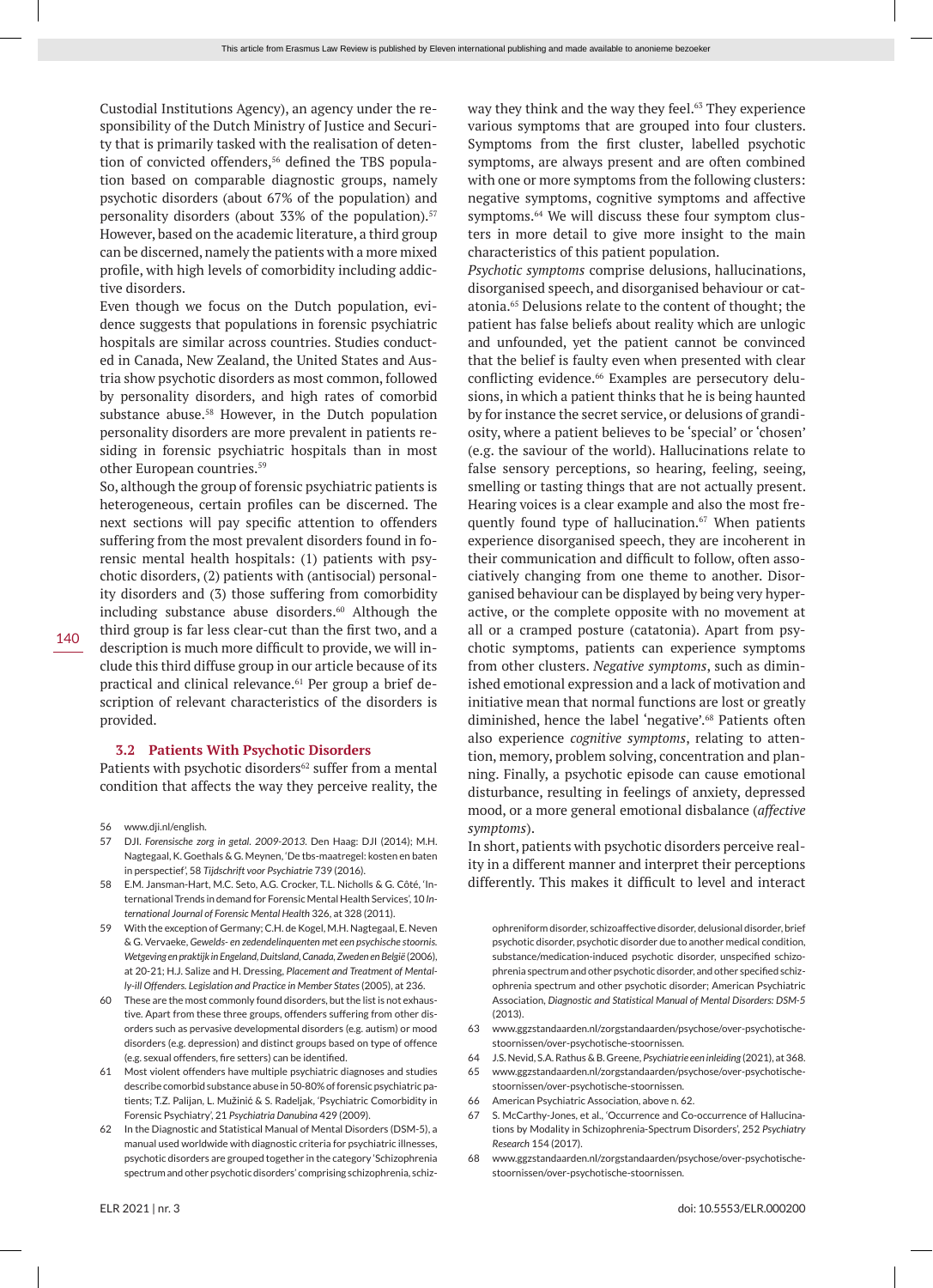Custodial Institutions Agency), an agency under the responsibility of the Dutch Ministry of Justice and Security that is primarily tasked with the realisation of detention of convicted offenders,<sup>56</sup> defined the TBS population based on comparable diagnostic groups, namely psychotic disorders (about 67% of the population) and personality disorders (about 33% of the population).<sup>57</sup> However, based on the academic literature, a third group can be discerned, namely the patients with a more mixed profile, with high levels of comorbidity including addictive disorders.

Even though we focus on the Dutch population, evidence suggests that populations in forensic psychiatric hospitals are similar across countries. Studies conducted in Canada, New Zealand, the United States and Austria show psychotic disorders as most common, followed by personality disorders, and high rates of comorbid substance abuse.<sup>58</sup> However, in the Dutch population personality disorders are more prevalent in patients residing in forensic psychiatric hospitals than in most other European countries.59

So, although the group of forensic psychiatric patients is heterogeneous, certain profiles can be discerned. The next sections will pay specific attention to offenders suffering from the most prevalent disorders found in forensic mental health hospitals: (1) patients with psychotic disorders, (2) patients with (antisocial) personality disorders and (3) those suffering from comorbidity including substance abuse disorders.<sup>60</sup> Although the third group is far less clear-cut than the first two, and a description is much more difficult to provide, we will include this third diffuse group in our article because of its practical and clinical relevance.<sup>61</sup> Per group a brief description of relevant characteristics of the disorders is provided.

### **3.2 Patients With Psychotic Disorders**

Patients with psychotic disorders<sup>62</sup> suffer from a mental condition that affects the way they perceive reality, the

- 57 DJI. *Forensische zorg in getal. 2009-2013*. Den Haag: DJI (2014); M.H. Nagtegaal, K. Goethals & G. Meynen, 'De tbs-maatregel: kosten en baten in perspectief', 58 *Tijdschrift voor Psychiatrie* 739 (2016).
- 58 E.M. Jansman-Hart, M.C. Seto, A.G. Crocker, T.L. Nicholls & G. Côté, 'International Trends in demand for Forensic Mental Health Services', 10 *International Journal of Forensic Mental Health* 326, at 328 (2011).
- 59 With the exception of Germany; C.H. de Kogel, M.H. Nagtegaal, E. Neven & G. Vervaeke, *Gewelds- en zedendelinquenten met een psychische stoornis. Wetgeving en praktijk in Engeland, Duitsland, Canada, Zweden en België* (2006), at 20-21; H.J. Salize and H. Dressing, *Placement and Treatment of Mentally-ill Offenders. Legislation and Practice in Member States* (2005), at 236.
- 60 These are the most commonly found disorders, but the list is not exhaustive. Apart from these three groups, offenders suffering from other disorders such as pervasive developmental disorders (e.g. autism) or mood disorders (e.g. depression) and distinct groups based on type of offence (e.g. sexual offenders, fire setters) can be identified.
- 61 Most violent offenders have multiple psychiatric diagnoses and studies describe comorbid substance abuse in 50-80% of forensic psychiatric patients; T.Z. Palijan, L. Mužinić & S. Radeljak, 'Psychiatric Comorbidity in Forensic Psychiatry', 21 *Psychiatria Danubina* 429 (2009).
- 62 In the Diagnostic and Statistical Manual of Mental Disorders (DSM-5), a manual used worldwide with diagnostic criteria for psychiatric illnesses, psychotic disorders are grouped together in the category 'Schizophrenia spectrum and other psychotic disorders' comprising schizophrenia, schiz-

way they think and the way they feel.<sup>63</sup> They experience various symptoms that are grouped into four clusters. Symptoms from the first cluster, labelled psychotic symptoms, are always present and are often combined with one or more symptoms from the following clusters: negative symptoms, cognitive symptoms and affective symptoms.<sup>64</sup> We will discuss these four symptom clusters in more detail to give more insight to the main characteristics of this patient population.

*Psychotic symptoms* comprise delusions, hallucinations, disorganised speech, and disorganised behaviour or catatonia.65 Delusions relate to the content of thought; the patient has false beliefs about reality which are unlogic and unfounded, yet the patient cannot be convinced that the belief is faulty even when presented with clear conflicting evidence.<sup>66</sup> Examples are persecutory delusions, in which a patient thinks that he is being haunted by for instance the secret service, or delusions of grandiosity, where a patient believes to be 'special' or 'chosen' (e.g. the saviour of the world). Hallucinations relate to false sensory perceptions, so hearing, feeling, seeing, smelling or tasting things that are not actually present. Hearing voices is a clear example and also the most frequently found type of hallucination. $67$  When patients experience disorganised speech, they are incoherent in their communication and difficult to follow, often associatively changing from one theme to another. Disorganised behaviour can be displayed by being very hyperactive, or the complete opposite with no movement at all or a cramped posture (catatonia). Apart from psychotic symptoms, patients can experience symptoms from other clusters. *Negative symptoms*, such as diminished emotional expression and a lack of motivation and initiative mean that normal functions are lost or greatly diminished, hence the label 'negative'.<sup>68</sup> Patients often also experience *cognitive symptoms*, relating to attention, memory, problem solving, concentration and planning. Finally, a psychotic episode can cause emotional disturbance, resulting in feelings of anxiety, depressed mood, or a more general emotional disbalance (*affective symptoms*).

In short, patients with psychotic disorders perceive reality in a different manner and interpret their perceptions differently. This makes it difficult to level and interact

ophreniform disorder, schizoaffective disorder, delusional disorder, brief psychotic disorder, psychotic disorder due to another medical condition, substance/medication-induced psychotic disorder, unspecified schizophrenia spectrum and other psychotic disorder, and other specified schizophrenia spectrum and other psychotic disorder; American Psychiatric Association, *Diagnostic and Statistical Manual of Mental Disorders: DSM-5*  $(2013)$ 

- 63 www.ggzstandaarden.nl/zorgstandaarden/psychose/over-psychotischestoornissen/over-psychotische-stoornissen.
- 64 J.S. Nevid, S.A. Rathus & B. Greene, *Psychiatrie een inleiding* (2021), at 368.
- 65 www.ggzstandaarden.nl/zorgstandaarden/psychose/over-psychotischestoornissen/over-psychotische-stoornissen.
- 66 American Psychiatric Association, above n. 62.
- 67 S. McCarthy-Jones, et al., 'Occurrence and Co-occurrence of Hallucinations by Modality in Schizophrenia-Spectrum Disorders', 252 *Psychiatry Research* 154 (2017).
- 68 www.ggzstandaarden.nl/zorgstandaarden/psychose/over-psychotischestoornissen/over-psychotische-stoornissen.

<sup>56</sup> www.dji.nl/english.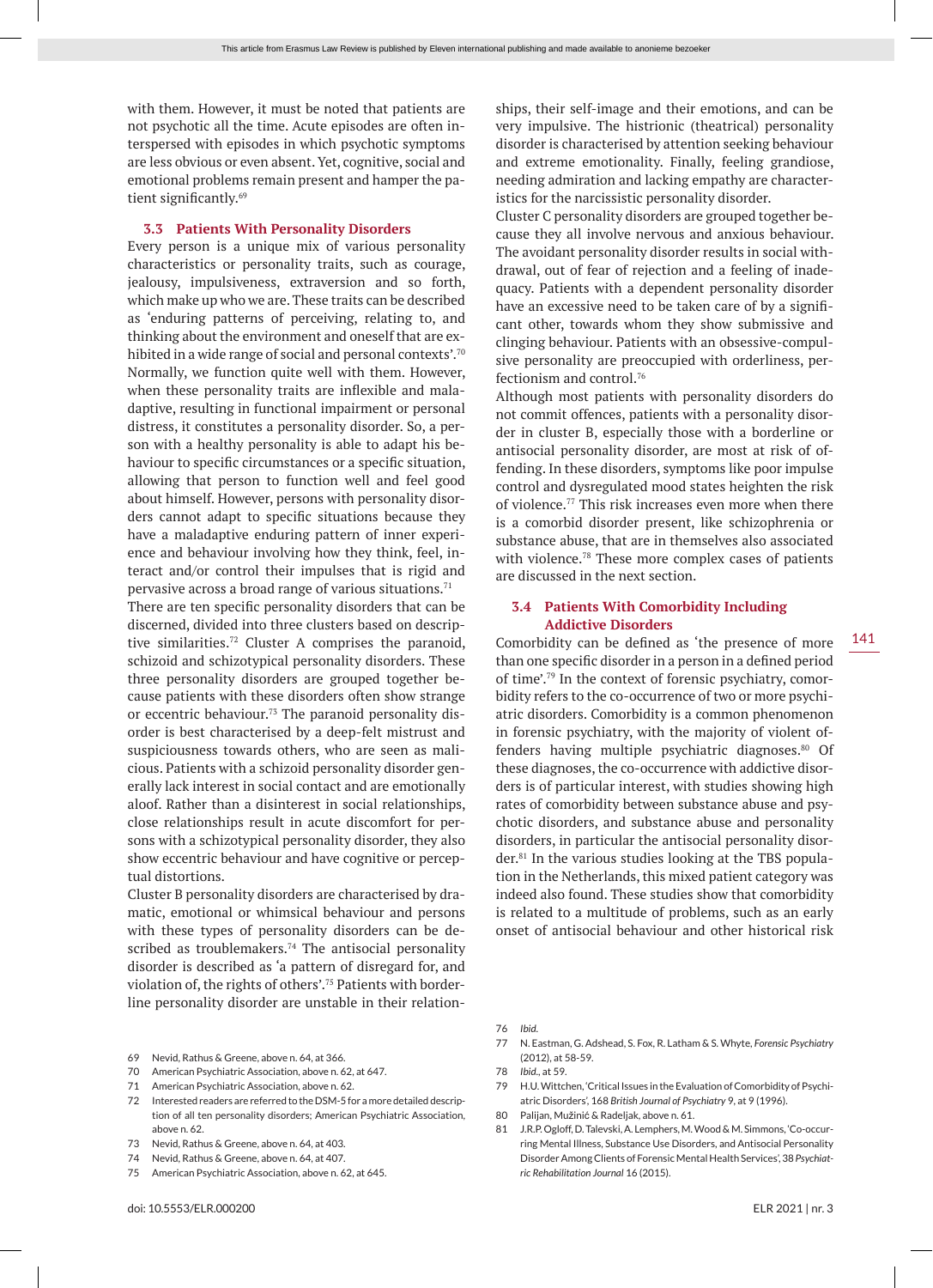with them. However, it must be noted that patients are not psychotic all the time. Acute episodes are often interspersed with episodes in which psychotic symptoms are less obvious or even absent. Yet, cognitive, social and emotional problems remain present and hamper the patient significantly.<sup>69</sup>

### **3.3 Patients With Personality Disorders**

Every person is a unique mix of various personality characteristics or personality traits, such as courage, jealousy, impulsiveness, extraversion and so forth, which make up who we are. These traits can be described as 'enduring patterns of perceiving, relating to, and thinking about the environment and oneself that are exhibited in a wide range of social and personal contexts'.<sup>70</sup> Normally, we function quite well with them. However, when these personality traits are inflexible and maladaptive, resulting in functional impairment or personal distress, it constitutes a personality disorder. So, a person with a healthy personality is able to adapt his behaviour to specific circumstances or a specific situation, allowing that person to function well and feel good about himself. However, persons with personality disorders cannot adapt to specific situations because they have a maladaptive enduring pattern of inner experience and behaviour involving how they think, feel, interact and/or control their impulses that is rigid and pervasive across a broad range of various situations.<sup>71</sup>

There are ten specific personality disorders that can be discerned, divided into three clusters based on descriptive similarities.72 Cluster A comprises the paranoid, schizoid and schizotypical personality disorders. These three personality disorders are grouped together because patients with these disorders often show strange or eccentric behaviour.<sup>73</sup> The paranoid personality disorder is best characterised by a deep-felt mistrust and suspiciousness towards others, who are seen as malicious. Patients with a schizoid personality disorder generally lack interest in social contact and are emotionally aloof. Rather than a disinterest in social relationships, close relationships result in acute discomfort for persons with a schizotypical personality disorder, they also show eccentric behaviour and have cognitive or perceptual distortions.

Cluster B personality disorders are characterised by dramatic, emotional or whimsical behaviour and persons with these types of personality disorders can be described as troublemakers.<sup>74</sup> The antisocial personality disorder is described as 'a pattern of disregard for, and violation of, the rights of others'.75 Patients with borderline personality disorder are unstable in their relation-

- 69 Nevid, Rathus & Greene, above n. 64, at 366.
- 70 American Psychiatric Association, above n. 62, at 647.
- 71 American Psychiatric Association, above n. 62.
- 72 Interested readers are referred to the DSM-5 for a more detailed description of all ten personality disorders; American Psychiatric Association, above n. 62.
- 73 Nevid, Rathus & Greene, above n. 64, at 403.
- 74 Nevid, Rathus & Greene, above n. 64, at 407.
- 75 American Psychiatric Association, above n. 62, at 645.

ships, their self-image and their emotions, and can be very impulsive. The histrionic (theatrical) personality disorder is characterised by attention seeking behaviour and extreme emotionality. Finally, feeling grandiose, needing admiration and lacking empathy are characteristics for the narcissistic personality disorder.

Cluster C personality disorders are grouped together because they all involve nervous and anxious behaviour. The avoidant personality disorder results in social withdrawal, out of fear of rejection and a feeling of inadequacy. Patients with a dependent personality disorder have an excessive need to be taken care of by a significant other, towards whom they show submissive and clinging behaviour. Patients with an obsessive-compulsive personality are preoccupied with orderliness, perfectionism and control.76

Although most patients with personality disorders do not commit offences, patients with a personality disorder in cluster B, especially those with a borderline or antisocial personality disorder, are most at risk of offending. In these disorders, symptoms like poor impulse control and dysregulated mood states heighten the risk of violence.77 This risk increases even more when there is a comorbid disorder present, like schizophrenia or substance abuse, that are in themselves also associated with violence.<sup>78</sup> These more complex cases of patients are discussed in the next section.

# **3.4 Patients With Comorbidity Including Addictive Disorders**

Comorbidity can be defined as 'the presence of more than one specific disorder in a person in a defined period of time'.79 In the context of forensic psychiatry, comorbidity refers to the co-occurrence of two or more psychiatric disorders. Comorbidity is a common phenomenon in forensic psychiatry, with the majority of violent offenders having multiple psychiatric diagnoses.<sup>80</sup> Of these diagnoses, the co-occurrence with addictive disorders is of particular interest, with studies showing high rates of comorbidity between substance abuse and psychotic disorders, and substance abuse and personality disorders, in particular the antisocial personality disorder.<sup>81</sup> In the various studies looking at the TBS population in the Netherlands, this mixed patient category was indeed also found. These studies show that comorbidity is related to a multitude of problems, such as an early onset of antisocial behaviour and other historical risk

- 77 N. Eastman, G. Adshead, S. Fox, R. Latham & S. Whyte, *Forensic Psychiatry* (2012), at 58-59.
- 78 *Ibid*., at 59.
- 79 H.U. Wittchen, 'Critical Issues in the Evaluation of Comorbidity of Psychiatric Disorders', 168 *British Journal of Psychiatry* 9, at 9 (1996).
- 80 Palijan, Mužinić & Radeljak, above n. 61.
- 81 J.R.P. Ogloff, D. Talevski, A. Lemphers, M. Wood & M. Simmons, 'Co-occurring Mental Illness, Substance Use Disorders, and Antisocial Personality Disorder Among Clients of Forensic Mental Health Services', 38 *Psychiatric Rehabilitation Journal* 16 (2015).

141

<sup>76</sup> *Ibid*.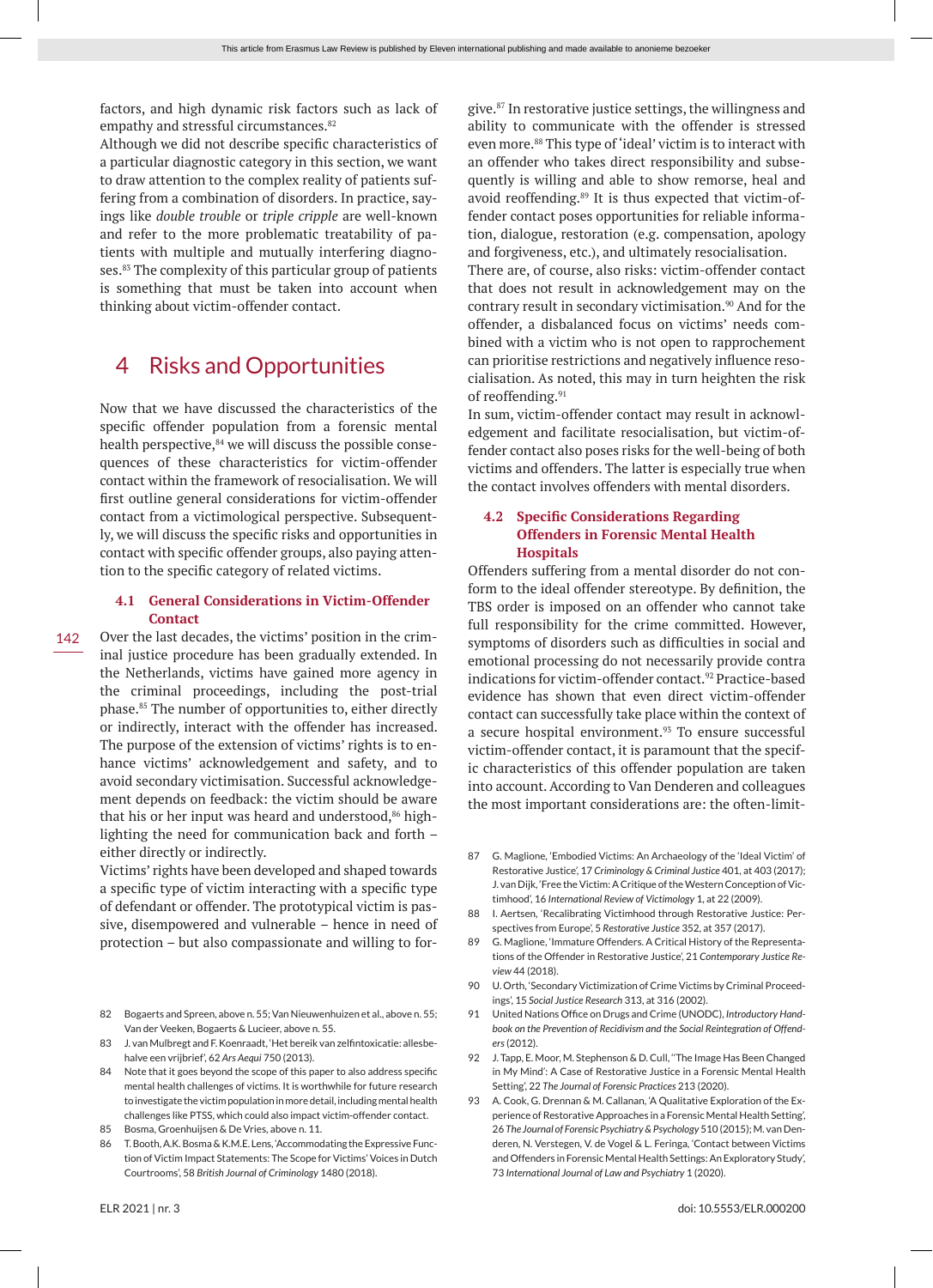factors, and high dynamic risk factors such as lack of empathy and stressful circumstances.<sup>82</sup>

Although we did not describe specific characteristics of a particular diagnostic category in this section, we want to draw attention to the complex reality of patients suffering from a combination of disorders. In practice, sayings like *double trouble* or *triple cripple* are well-known and refer to the more problematic treatability of patients with multiple and mutually interfering diagnoses.<sup>83</sup> The complexity of this particular group of patients is something that must be taken into account when thinking about victim-offender contact.

# 4 Risks and Opportunities

Now that we have discussed the characteristics of the specific offender population from a forensic mental health perspective, $84$  we will discuss the possible consequences of these characteristics for victim-offender contact within the framework of resocialisation. We will first outline general considerations for victim-offender contact from a victimological perspective. Subsequently, we will discuss the specific risks and opportunities in contact with specific offender groups, also paying attention to the specific category of related victims.

# **4.1 General Considerations in Victim-Offender Contact**

Over the last decades, the victims' position in the criminal justice procedure has been gradually extended. In the Netherlands, victims have gained more agency in the criminal proceedings, including the post-trial phase.85 The number of opportunities to, either directly or indirectly, interact with the offender has increased. The purpose of the extension of victims' rights is to enhance victims' acknowledgement and safety, and to avoid secondary victimisation. Successful acknowledgement depends on feedback: the victim should be aware that his or her input was heard and understood,<sup>86</sup> highlighting the need for communication back and forth – either directly or indirectly.

Victims' rights have been developed and shaped towards a specific type of victim interacting with a specific type of defendant or offender. The prototypical victim is passive, disempowered and vulnerable – hence in need of protection – but also compassionate and willing to for-

- 82 Bogaerts and Spreen, above n. 55; Van Nieuwenhuizen et al., above n. 55; Van der Veeken, Bogaerts & Lucieer, above n. 55.
- 83 J. van Mulbregt and F. Koenraadt, 'Het bereik van zelfintoxicatie: allesbehalve een vrijbrief', 62 *Ars Aequi* 750 (2013).
- 84 Note that it goes beyond the scope of this paper to also address specific mental health challenges of victims. It is worthwhile for future research to investigate the victim population in more detail, including mental health challenges like PTSS, which could also impact victim-offender contact.
- 85 Bosma, Groenhuijsen & De Vries, above n. 11.
- 86 T. Booth, A.K. Bosma & K.M.E. Lens, 'Accommodating the Expressive Function of Victim Impact Statements: The Scope for Victims' Voices in Dutch Courtrooms', 58 *British Journal of Criminology* 1480 (2018).

give.87 In restorative justice settings, the willingness and ability to communicate with the offender is stressed even more.88 This type of 'ideal' victim is to interact with an offender who takes direct responsibility and subsequently is willing and able to show remorse, heal and avoid reoffending.<sup>89</sup> It is thus expected that victim-offender contact poses opportunities for reliable information, dialogue, restoration (e.g. compensation, apology and forgiveness, etc.), and ultimately resocialisation.

There are, of course, also risks: victim-offender contact that does not result in acknowledgement may on the contrary result in secondary victimisation.<sup>90</sup> And for the offender, a disbalanced focus on victims' needs combined with a victim who is not open to rapprochement can prioritise restrictions and negatively influence resocialisation. As noted, this may in turn heighten the risk of reoffending.<sup>91</sup>

In sum, victim-offender contact may result in acknowledgement and facilitate resocialisation, but victim-offender contact also poses risks for the well-being of both victims and offenders. The latter is especially true when the contact involves offenders with mental disorders.

# **4.2 Specific Considerations Regarding Offenders in Forensic Mental Health Hospitals**

Offenders suffering from a mental disorder do not conform to the ideal offender stereotype. By definition, the TBS order is imposed on an offender who cannot take full responsibility for the crime committed. However, symptoms of disorders such as difficulties in social and emotional processing do not necessarily provide contra indications for victim-offender contact.<sup>92</sup> Practice-based evidence has shown that even direct victim-offender contact can successfully take place within the context of a secure hospital environment.<sup>93</sup> To ensure successful victim-offender contact, it is paramount that the specific characteristics of this offender population are taken into account. According to Van Denderen and colleagues the most important considerations are: the often-limit-

- 87 G. Maglione, 'Embodied Victims: An Archaeology of the 'Ideal Victim' of Restorative Justice', 17 *Criminology & Criminal Justice* 401, at 403 (2017); J. van Dijk, 'Free the Victim: A Critique of the Western Conception of Victimhood', 16 *International Review of Victimology* 1, at 22 (2009).
- 88 I. Aertsen, 'Recalibrating Victimhood through Restorative Justice: Perspectives from Europe', 5 *Restorative Justice* 352, at 357 (2017).
- 89 G. Maglione, 'Immature Offenders. A Critical History of the Representations of the Offender in Restorative Justice', 21 *Contemporary Justice Review* 44 (2018).
- 90 U. Orth, 'Secondary Victimization of Crime Victims by Criminal Proceedings', 15 *Social Justice Research* 313, at 316 (2002).
- 91 United Nations Office on Drugs and Crime (UNODC), *Introductory Handbook on the Prevention of Recidivism and the Social Reintegration of Offenders* (2012).
- 92 J. Tapp, E. Moor, M. Stephenson & D. Cull, ''The Image Has Been Changed in My Mind': A Case of Restorative Justice in a Forensic Mental Health Setting', 22 *The Journal of Forensic Practices* 213 (2020).
- 93 A. Cook, G. Drennan & M. Callanan, 'A Qualitative Exploration of the Experience of Restorative Approaches in a Forensic Mental Health Setting', 26 *The Journal of Forensic Psychiatry & Psychology* 510 (2015); M. van Denderen, N. Verstegen, V. de Vogel & L. Feringa, 'Contact between Victims and Offenders in Forensic Mental Health Settings: An Exploratory Study', 73 *International Journal of Law and Psychiatry* 1 (2020).

142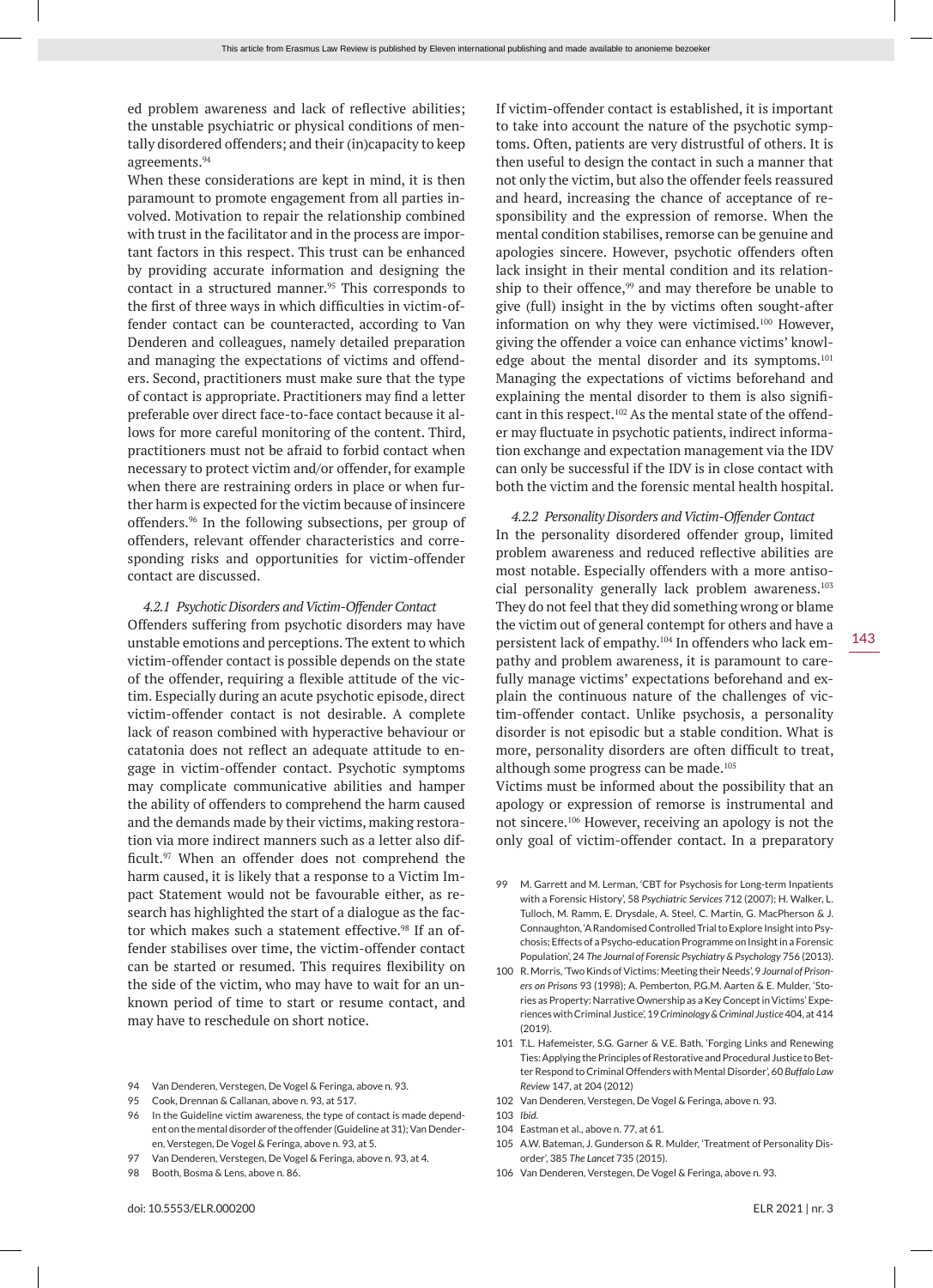ed problem awareness and lack of reflective abilities; the unstable psychiatric or physical conditions of mentally disordered offenders; and their (in)capacity to keep agreements.94

When these considerations are kept in mind, it is then paramount to promote engagement from all parties involved. Motivation to repair the relationship combined with trust in the facilitator and in the process are important factors in this respect. This trust can be enhanced by providing accurate information and designing the contact in a structured manner.<sup>95</sup> This corresponds to the first of three ways in which difficulties in victim-offender contact can be counteracted, according to Van Denderen and colleagues, namely detailed preparation and managing the expectations of victims and offenders. Second, practitioners must make sure that the type of contact is appropriate. Practitioners may find a letter preferable over direct face-to-face contact because it allows for more careful monitoring of the content. Third, practitioners must not be afraid to forbid contact when necessary to protect victim and/or offender, for example when there are restraining orders in place or when further harm is expected for the victim because of insincere offenders.96 In the following subsections, per group of offenders, relevant offender characteristics and corresponding risks and opportunities for victim-offender contact are discussed.

#### *4.2.1 Psychotic Disorders and Victim-Offender Contact*

Offenders suffering from psychotic disorders may have unstable emotions and perceptions. The extent to which victim-offender contact is possible depends on the state of the offender, requiring a flexible attitude of the victim. Especially during an acute psychotic episode, direct victim-offender contact is not desirable. A complete lack of reason combined with hyperactive behaviour or catatonia does not reflect an adequate attitude to engage in victim-offender contact. Psychotic symptoms may complicate communicative abilities and hamper the ability of offenders to comprehend the harm caused and the demands made by their victims, making restoration via more indirect manners such as a letter also difficult.<sup>97</sup> When an offender does not comprehend the harm caused, it is likely that a response to a Victim Impact Statement would not be favourable either, as research has highlighted the start of a dialogue as the factor which makes such a statement effective.<sup>98</sup> If an offender stabilises over time, the victim-offender contact can be started or resumed. This requires flexibility on the side of the victim, who may have to wait for an unknown period of time to start or resume contact, and may have to reschedule on short notice.

- 94 Van Denderen, Verstegen, De Vogel & Feringa, above n. 93.
- 95 Cook, Drennan & Callanan, above n. 93, at 517.
- 96 In the Guideline victim awareness, the type of contact is made dependent on the mental disorder of the offender (Guideline at 31); Van Denderen, Verstegen, De Vogel & Feringa, above n. 93, at 5.
- 97 Van Denderen, Verstegen, De Vogel & Feringa, above n. 93, at 4.
- 98 Booth, Bosma & Lens, above n. 86.

If victim-offender contact is established, it is important to take into account the nature of the psychotic symptoms. Often, patients are very distrustful of others. It is then useful to design the contact in such a manner that not only the victim, but also the offender feels reassured and heard, increasing the chance of acceptance of responsibility and the expression of remorse. When the mental condition stabilises, remorse can be genuine and apologies sincere. However, psychotic offenders often lack insight in their mental condition and its relationship to their offence,<sup>99</sup> and may therefore be unable to give (full) insight in the by victims often sought-after information on why they were victimised.100 However, giving the offender a voice can enhance victims' knowledge about the mental disorder and its symptoms.<sup>101</sup> Managing the expectations of victims beforehand and explaining the mental disorder to them is also significant in this respect.<sup>102</sup> As the mental state of the offender may fluctuate in psychotic patients, indirect information exchange and expectation management via the IDV can only be successful if the IDV is in close contact with both the victim and the forensic mental health hospital.

*4.2.2 Personality Disorders and Victim-Offender Contact* In the personality disordered offender group, limited problem awareness and reduced reflective abilities are most notable. Especially offenders with a more antisocial personality generally lack problem awareness.103 They do not feel that they did something wrong or blame the victim out of general contempt for others and have a persistent lack of empathy.<sup>104</sup> In offenders who lack empathy and problem awareness, it is paramount to carefully manage victims' expectations beforehand and explain the continuous nature of the challenges of victim-offender contact. Unlike psychosis, a personality disorder is not episodic but a stable condition. What is more, personality disorders are often difficult to treat, although some progress can be made.105

Victims must be informed about the possibility that an apology or expression of remorse is instrumental and not sincere.106 However, receiving an apology is not the only goal of victim-offender contact. In a preparatory

- 99 M. Garrett and M. Lerman, 'CBT for Psychosis for Long-term Inpatients with a Forensic History', 58 *Psychiatric Services* 712 (2007); H. Walker, L. Tulloch, M. Ramm, E. Drysdale, A. Steel, C. Martin, G. MacPherson & J. Connaughton, 'A Randomised Controlled Trial to Explore Insight into Psychosis; Effects of a Psycho-education Programme on Insight in a Forensic Population', 24 *The Journal of Forensic Psychiatry & Psychology* 756 (2013).
- 100 R. Morris, 'Two Kinds of Victims: Meeting their Needs', 9 *Journal of Prisoners on Prisons* 93 (1998); A. Pemberton, P.G.M. Aarten & E. Mulder, 'Stories as Property: Narrative Ownership as a Key Concept in Victims' Experiences with Criminal Justice', 19 *Criminology & Criminal Justice* 404, at 414 (2019).
- 101 T.L. Hafemeister, S.G. Garner & V.E. Bath, 'Forging Links and Renewing Ties: Applying the Principles of Restorative and Procedural Justice to Better Respond to Criminal Offenders with Mental Disorder', 60 *Buffalo Law Review* 147, at 204 (2012)
- 102 Van Denderen, Verstegen, De Vogel & Feringa, above n. 93.
- 103 *Ibid*.
- 104 Eastman et al., above n. 77, at 61.
- 105 A.W. Bateman, J. Gunderson & R. Mulder, 'Treatment of Personality Disorder', 385 *The Lancet* 735 (2015).
- 106 Van Denderen, Verstegen, De Vogel & Feringa, above n. 93.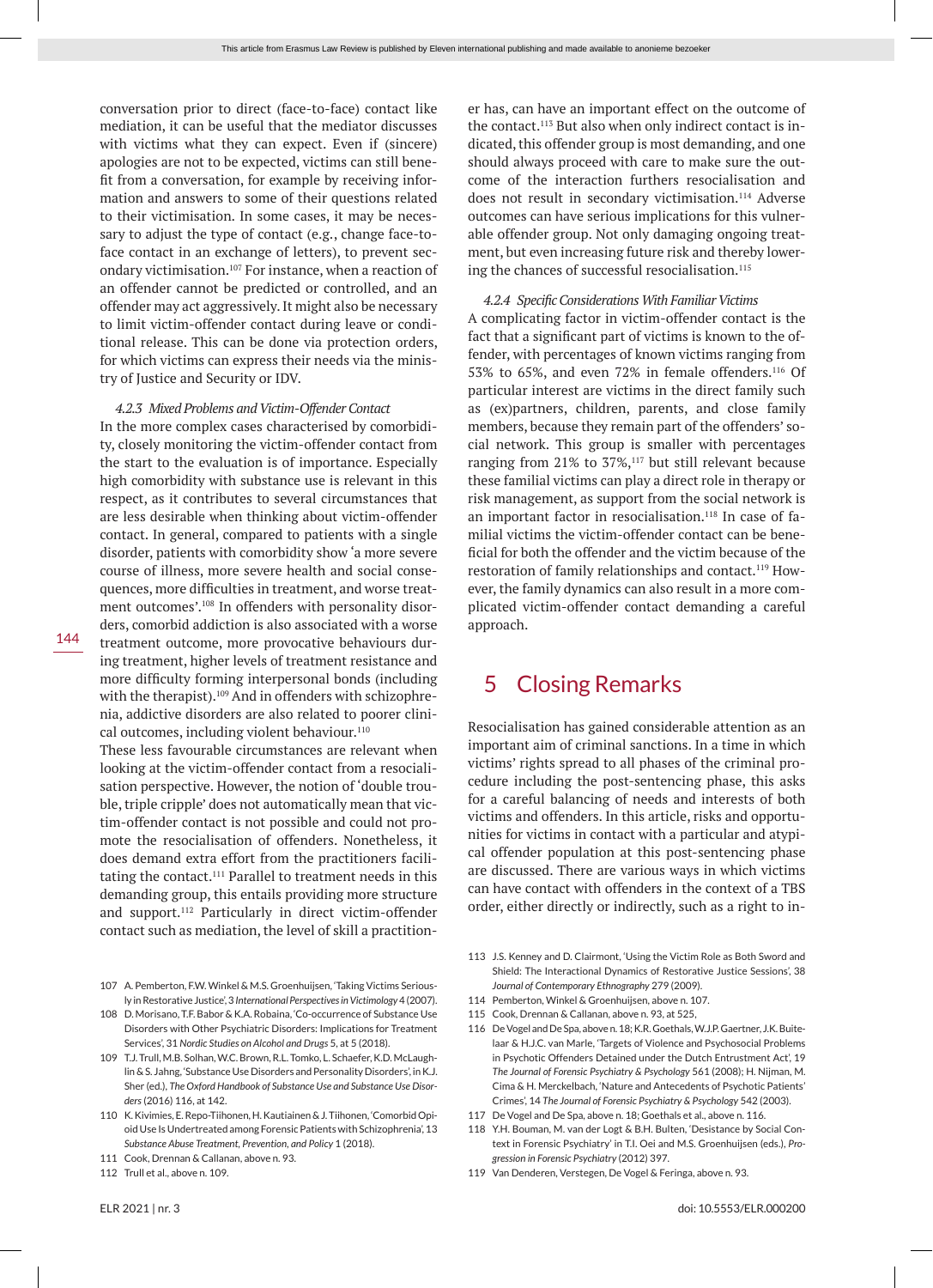conversation prior to direct (face-to-face) contact like mediation, it can be useful that the mediator discusses with victims what they can expect. Even if (sincere) apologies are not to be expected, victims can still benefit from a conversation, for example by receiving information and answers to some of their questions related to their victimisation. In some cases, it may be necessary to adjust the type of contact (e.g., change face-toface contact in an exchange of letters), to prevent secondary victimisation.107 For instance, when a reaction of an offender cannot be predicted or controlled, and an offender may act aggressively. It might also be necessary to limit victim-offender contact during leave or conditional release. This can be done via protection orders, for which victims can express their needs via the ministry of Justice and Security or IDV.

#### *4.2.3 Mixed Problems and Victim-Offender Contact*

In the more complex cases characterised by comorbidity, closely monitoring the victim-offender contact from the start to the evaluation is of importance. Especially high comorbidity with substance use is relevant in this respect, as it contributes to several circumstances that are less desirable when thinking about victim-offender contact. In general, compared to patients with a single disorder, patients with comorbidity show 'a more severe course of illness, more severe health and social consequences, more difficulties in treatment, and worse treatment outcomes'.108 In offenders with personality disorders, comorbid addiction is also associated with a worse treatment outcome, more provocative behaviours during treatment, higher levels of treatment resistance and more difficulty forming interpersonal bonds (including with the therapist).<sup>109</sup> And in offenders with schizophrenia, addictive disorders are also related to poorer clinical outcomes, including violent behaviour.<sup>110</sup>

These less favourable circumstances are relevant when looking at the victim-offender contact from a resocialisation perspective. However, the notion of 'double trouble, triple cripple' does not automatically mean that victim-offender contact is not possible and could not promote the resocialisation of offenders. Nonetheless, it does demand extra effort from the practitioners facilitating the contact.<sup>111</sup> Parallel to treatment needs in this demanding group, this entails providing more structure and support.112 Particularly in direct victim-offender contact such as mediation, the level of skill a practition-

- 107 A. Pemberton, F.W. Winkel & M.S. Groenhuijsen, 'Taking Victims Seriously in Restorative Justice', 3 *International Perspectives in Victimology* 4 (2007).
- 108 D. Morisano, T.F. Babor & K.A. Robaina, 'Co-occurrence of Substance Use Disorders with Other Psychiatric Disorders: Implications for Treatment Services', 31 *Nordic Studies on Alcohol and Drugs* 5, at 5 (2018).
- 109 T.J. Trull, M.B. Solhan, W.C. Brown, R.L. Tomko, L. Schaefer, K.D. McLaughlin & S. Jahng, 'Substance Use Disorders and Personality Disorders', in K.J. Sher (ed.), *The Oxford Handbook of Substance Use and Substance Use Disorders* (2016) 116, at 142.
- 110 K. Kivimies, E. Repo-Tiihonen, H. Kautiainen & J. Tiihonen, 'Comorbid Opioid Use Is Undertreated among Forensic Patients with Schizophrenia', 13 *Substance Abuse Treatment, Prevention, and Policy* 1 (2018).
- 111 Cook, Drennan & Callanan, above n. 93.
- 112 Trull et al., above n. 109.

*4.2.4 Specific Considerations With Familiar Victims* A complicating factor in victim-offender contact is the fact that a significant part of victims is known to the offender, with percentages of known victims ranging from 53% to 65%, and even 72% in female offenders.116 Of particular interest are victims in the direct family such

as (ex)partners, children, parents, and close family members, because they remain part of the offenders' social network. This group is smaller with percentages ranging from 21% to 37%,<sup>117</sup> but still relevant because these familial victims can play a direct role in therapy or risk management, as support from the social network is an important factor in resocialisation.<sup>118</sup> In case of familial victims the victim-offender contact can be beneficial for both the offender and the victim because of the restoration of family relationships and contact.<sup>119</sup> However, the family dynamics can also result in a more complicated victim-offender contact demanding a careful approach.

er has, can have an important effect on the outcome of the contact.113 But also when only indirect contact is indicated, this offender group is most demanding, and one should always proceed with care to make sure the outcome of the interaction furthers resocialisation and does not result in secondary victimisation.<sup>114</sup> Adverse outcomes can have serious implications for this vulnerable offender group. Not only damaging ongoing treatment, but even increasing future risk and thereby lower-

ing the chances of successful resocialisation.<sup>115</sup>

# 5 Closing Remarks

Resocialisation has gained considerable attention as an important aim of criminal sanctions. In a time in which victims' rights spread to all phases of the criminal procedure including the post-sentencing phase, this asks for a careful balancing of needs and interests of both victims and offenders. In this article, risks and opportunities for victims in contact with a particular and atypical offender population at this post-sentencing phase are discussed. There are various ways in which victims can have contact with offenders in the context of a TBS order, either directly or indirectly, such as a right to in-

- 113 J.S. Kenney and D. Clairmont, 'Using the Victim Role as Both Sword and Shield: The Interactional Dynamics of Restorative Justice Sessions', 38 *Journal of Contemporary Ethnography* 279 (2009).
- 114 Pemberton, Winkel & Groenhuijsen, above n. 107.
- 115 Cook, Drennan & Callanan, above n. 93, at 525,
- 116 De Vogel and De Spa, above n. 18; K.R. Goethals, W.J.P. Gaertner, J.K. Buitelaar & H.J.C. van Marle, 'Targets of Violence and Psychosocial Problems in Psychotic Offenders Detained under the Dutch Entrustment Act', 19 *The Journal of Forensic Psychiatry & Psychology* 561 (2008); H. Nijman, M. Cima & H. Merckelbach, 'Nature and Antecedents of Psychotic Patients' Crimes', 14 *The Journal of Forensic Psychiatry & Psychology* 542 (2003).
- 117 De Vogel and De Spa, above n. 18; Goethals et al., above n. 116.
- 118 Y.H. Bouman, M. van der Logt & B.H. Bulten, 'Desistance by Social Context in Forensic Psychiatry' in T.I. Oei and M.S. Groenhuijsen (eds.), *Progression in Forensic Psychiatry* (2012) 397.
- 119 Van Denderen, Verstegen, De Vogel & Feringa, above n. 93.